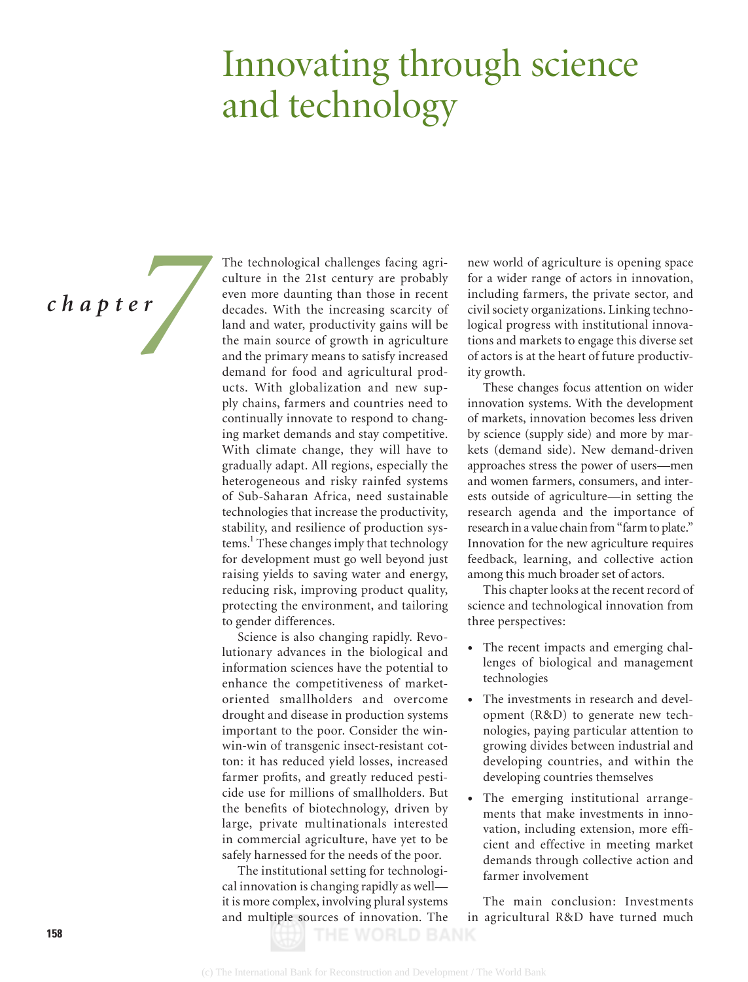# Innovating through science and technology

*chapter*

**7** The technological challenges facing agriculture in the 21st century are probably even more daunting than those in recent decades. With the increasing scarcity of land and water, productivity gains will be the main sour culture in the 21st century are probably even more daunting than those in recent decades. With the increasing scarcity of land and water, productivity gains will be the main source of growth in agriculture and the primary means to satisfy increased demand for food and agricultural products. With globalization and new supply chains, farmers and countries need to continually innovate to respond to changing market demands and stay competitive. With climate change, they will have to gradually adapt. All regions, especially the heterogeneous and risky rainfed systems of Sub-Saharan Africa, need sustainable technologies that increase the productivity, stability, and resilience of production systems.<sup>1</sup> These changes imply that technology for development must go well beyond just raising yields to saving water and energy, reducing risk, improving product quality, protecting the environment, and tailoring to gender differences.

> Science is also changing rapidly. Revolutionary advances in the biological and information sciences have the potential to enhance the competitiveness of marketoriented smallholders and overcome drought and disease in production systems important to the poor. Consider the winwin-win of transgenic insect-resistant cotton: it has reduced yield losses, increased farmer profits, and greatly reduced pesticide use for millions of smallholders. But the benefits of biotechnology, driven by large, private multinationals interested in commercial agriculture, have yet to be safely harnessed for the needs of the poor.

> The institutional setting for technological innovation is changing rapidly as well it is more complex, involving plural systems and multiple sources of innovation. The

new world of agriculture is opening space for a wider range of actors in innovation, including farmers, the private sector, and civil society organizations. Linking technological progress with institutional innovations and markets to engage this diverse set of actors is at the heart of future productivity growth.

These changes focus attention on wider innovation systems. With the development of markets, innovation becomes less driven by science (supply side) and more by markets (demand side). New demand-driven approaches stress the power of users—men and women farmers, consumers, and interests outside of agriculture—in setting the research agenda and the importance of research in a value chain from "farm to plate." Innovation for the new agriculture requires feedback, learning, and collective action among this much broader set of actors.

This chapter looks at the recent record of science and technological innovation from three perspectives:

- The recent impacts and emerging challenges of biological and management technologies
- The investments in research and development (R&D) to generate new technologies, paying particular attention to growing divides between industrial and developing countries, and within the developing countries themselves
- The emerging institutional arrangements that make investments in innovation, including extension, more efficient and effective in meeting market demands through collective action and farmer involvement

The main conclusion: Investments in agricultural R&D have turned much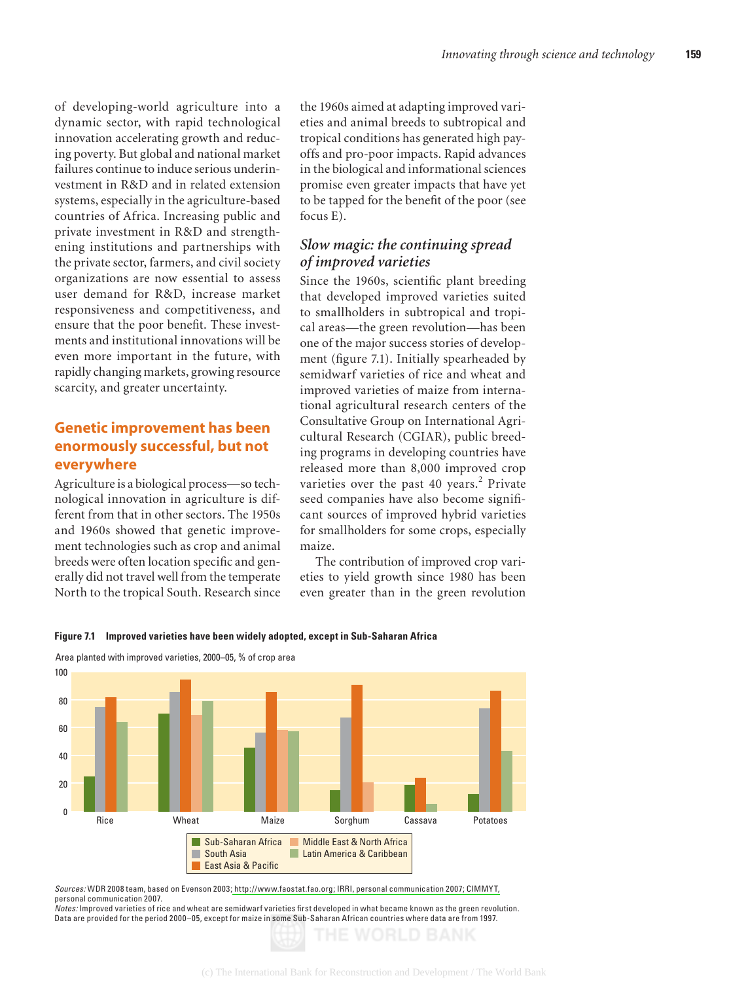of developing-world agriculture into a dynamic sector, with rapid technological innovation accelerating growth and reducing poverty. But global and national market failures continue to induce serious underinvestment in R&D and in related extension systems, especially in the agriculture-based countries of Africa. Increasing public and private investment in R&D and strengthening institutions and partnerships with the private sector, farmers, and civil society organizations are now essential to assess user demand for R&D, increase market responsiveness and competitiveness, and ensure that the poor benefit. These investments and institutional innovations will be even more important in the future, with rapidly changing markets, growing resource scarcity, and greater uncertainty.

# **Genetic improvement has been enormously successful, but not everywhere**

Agriculture is a biological process—so technological innovation in agriculture is different from that in other sectors. The 1950s and 1960s showed that genetic improvement technologies such as crop and animal breeds were often location specific and generally did not travel well from the temperate North to the tropical South. Research since the 1960s aimed at adapting improved varieties and animal breeds to subtropical and tropical conditions has generated high payoffs and pro-poor impacts. Rapid advances in the biological and informational sciences promise even greater impacts that have yet to be tapped for the benefit of the poor (see focus E).

## *Slow magic: the continuing spread of improved varieties*

Since the 1960s, scientific plant breeding that developed improved varieties suited to smallholders in subtropical and tropical areas—the green revolution—has been one of the major success stories of development (figure 7.1). Initially spearheaded by semidwarf varieties of rice and wheat and improved varieties of maize from international agricultural research centers of the Consultative Group on International Agricultural Research (CGIAR), public breeding programs in developing countries have released more than 8,000 improved crop varieties over the past 40 years.<sup>2</sup> Private seed companies have also become significant sources of improved hybrid varieties for smallholders for some crops, especially maize.

The contribution of improved crop varieties to yield growth since 1980 has been even greater than in the green revolution



**Figure 7.1 Improved varieties have been widely adopted, except in Sub-Saharan Africa**

Area planted with improved varieties, 2000–05, % of crop area

Sources: WDR 2008 team, based on Evenson 2003[; http://www.faostat.fao.org; IRRI, personal communication 2007; CIMMYT,](http://www.faostat.fao.org;IRRI,personalcommunication2007;CIMMYT)  personal communication 2007.

Notes: Improved varieties of rice and wheat are semidwarf varieties first developed in what became known as the green revolution. Data are provided for the period 2000–05, except for maize in some Sub-Saharan African countries where data are from 1997.

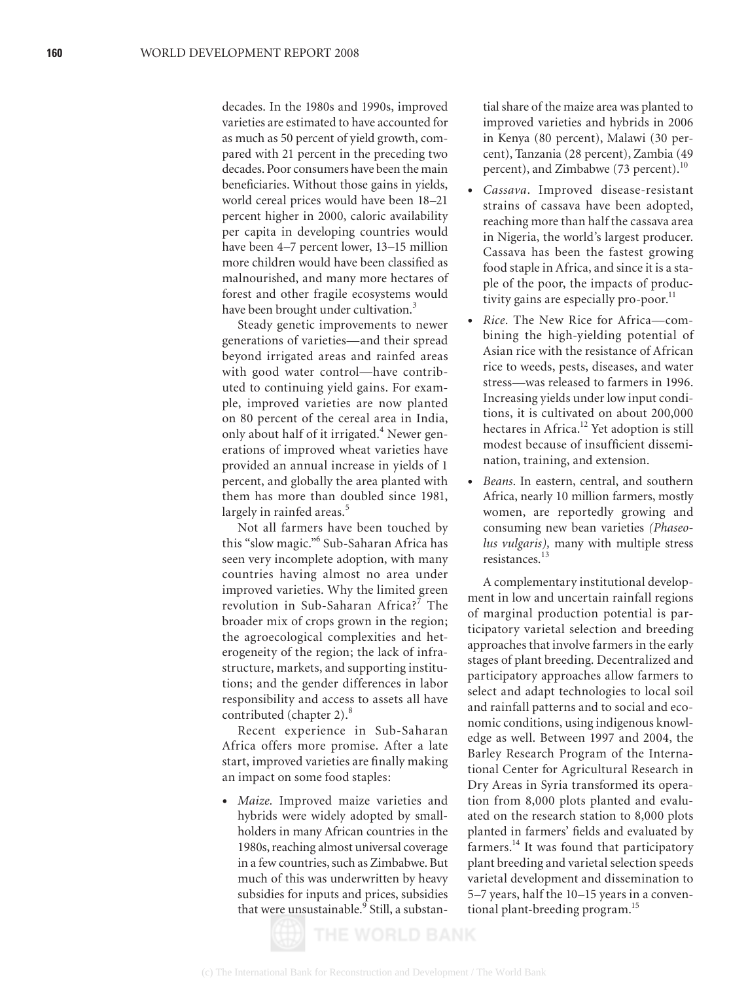decades. In the 1980s and 1990s, improved varieties are estimated to have accounted for as much as 50 percent of yield growth, compared with 21 percent in the preceding two decades. Poor consumers have been the main beneficiaries. Without those gains in yields, world cereal prices would have been 18–21 percent higher in 2000, caloric availability per capita in developing countries would have been 4–7 percent lower, 13–15 million more children would have been classified as malnourished, and many more hectares of forest and other fragile ecosystems would have been brought under cultivation.<sup>3</sup>

Steady genetic improvements to newer generations of varieties—and their spread beyond irrigated areas and rainfed areas with good water control—have contributed to continuing yield gains. For example, improved varieties are now planted on 80 percent of the cereal area in India, only about half of it irrigated.<sup>4</sup> Newer generations of improved wheat varieties have provided an annual increase in yields of 1 percent, and globally the area planted with them has more than doubled since 1981, largely in rainfed areas.<sup>5</sup>

Not all farmers have been touched by this "slow magic."6 Sub-Saharan Africa has seen very incomplete adoption, with many countries having almost no area under improved varieties. Why the limited green revolution in Sub-Saharan Africa?<sup>7</sup> The broader mix of crops grown in the region; the agroecological complexities and heterogeneity of the region; the lack of infrastructure, markets, and supporting institutions; and the gender differences in labor responsibility and access to assets all have contributed (chapter 2).<sup>8</sup>

Recent experience in Sub-Saharan Africa offers more promise. After a late start, improved varieties are finally making an impact on some food staples:

• *Maize.* Improved maize varieties and hybrids were widely adopted by smallholders in many African countries in the 1980s, reaching almost universal coverage in a few countries, such as Zimbabwe. But much of this was underwritten by heavy subsidies for inputs and prices, subsidies that were unsustainable.<sup>9</sup> Still, a substan-

tial share of the maize area was planted to improved varieties and hybrids in 2006 in Kenya (80 percent), Malawi (30 percent), Tanzania (28 percent), Zambia (49 percent), and Zimbabwe (73 percent).<sup>10</sup>

- *Cassava*. Improved disease-resistant strains of cassava have been adopted, reaching more than half the cassava area in Nigeria, the world's largest producer. Cassava has been the fastest growing food staple in Africa, and since it is a staple of the poor, the impacts of productivity gains are especially pro-poor.<sup>11</sup>
- *Rice*. The New Rice for Africa—combining the high-yielding potential of Asian rice with the resistance of African rice to weeds, pests, diseases, and water stress—was released to farmers in 1996. Increasing yields under low input conditions, it is cultivated on about 200,000 hectares in Africa.<sup>12</sup> Yet adoption is still modest because of insufficient dissemination, training, and extension.
- *Beans*. In eastern, central, and southern Africa, nearly 10 million farmers, mostly women, are reportedly growing and consuming new bean varieties *(Phaseolus vulgaris),* many with multiple stress resistances.<sup>13</sup>

A complementary institutional development in low and uncertain rainfall regions of marginal production potential is participatory varietal selection and breeding approaches that involve farmers in the early stages of plant breeding. Decentralized and participatory approaches allow farmers to select and adapt technologies to local soil and rainfall patterns and to social and economic conditions, using indigenous knowledge as well. Between 1997 and 2004, the Barley Research Program of the International Center for Agricultural Research in Dry Areas in Syria transformed its operation from 8,000 plots planted and evaluated on the research station to 8,000 plots planted in farmers' fields and evaluated by farmers.<sup>14</sup> It was found that participatory plant breeding and varietal selection speeds varietal development and dissemination to 5–7 years, half the 10–15 years in a conventional plant-breeding program.<sup>15</sup>

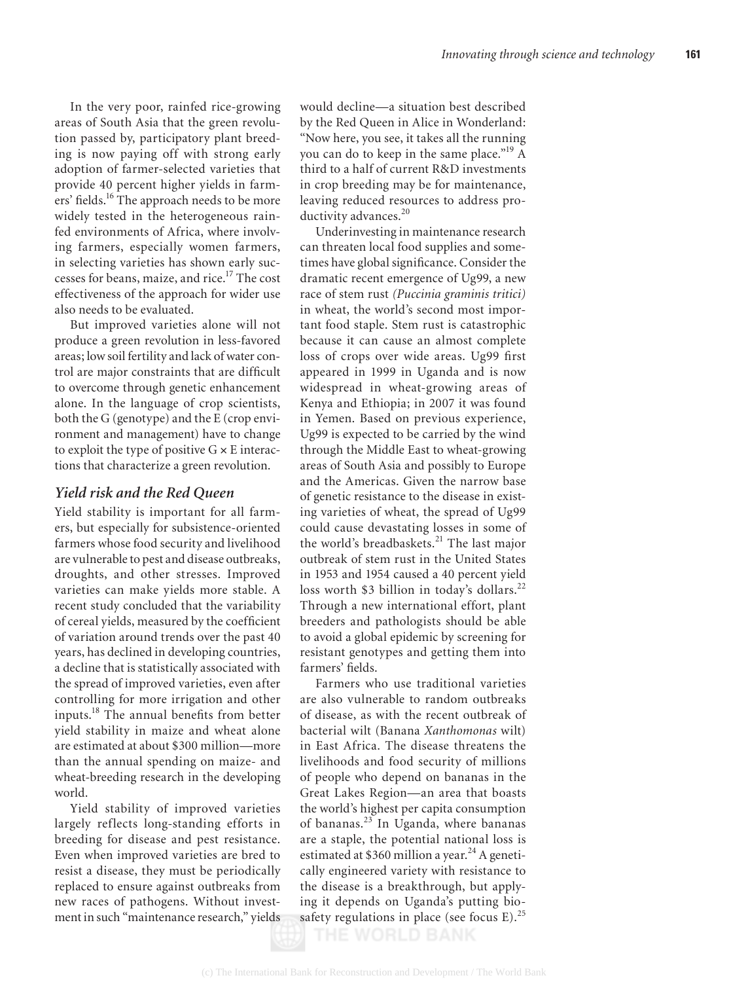In the very poor, rainfed rice-growing areas of South Asia that the green revolution passed by, participatory plant breeding is now paying off with strong early adoption of farmer-selected varieties that provide 40 percent higher yields in farmers' fields.<sup>16</sup> The approach needs to be more widely tested in the heterogeneous rainfed environments of Africa, where involving farmers, especially women farmers, in selecting varieties has shown early successes for beans, maize, and rice.17 The cost effectiveness of the approach for wider use also needs to be evaluated.

But improved varieties alone will not produce a green revolution in less-favored areas; low soil fertility and lack of water control are major constraints that are difficult to overcome through genetic enhancement alone. In the language of crop scientists, both the G (genotype) and the E (crop environment and management) have to change to exploit the type of positive  $G \times E$  interactions that characterize a green revolution.

#### *Yield risk and the Red Queen*

Yield stability is important for all farmers, but especially for subsistence-oriented farmers whose food security and livelihood are vulnerable to pest and disease outbreaks, droughts, and other stresses. Improved varieties can make yields more stable. A recent study concluded that the variability of cereal yields, measured by the coefficient of variation around trends over the past 40 years, has declined in developing countries, a decline that is statistically associated with the spread of improved varieties, even after controlling for more irrigation and other inputs.<sup>18</sup> The annual benefits from better yield stability in maize and wheat alone are estimated at about \$300 million—more than the annual spending on maize- and wheat-breeding research in the developing world.

Yield stability of improved varieties largely reflects long-standing efforts in breeding for disease and pest resistance. Even when improved varieties are bred to resist a disease, they must be periodically replaced to ensure against outbreaks from new races of pathogens. Without investment in such "maintenance research," yields

would decline—a situation best described by the Red Queen in Alice in Wonderland: "Now here, you see, it takes all the running you can do to keep in the same place."19 A third to a half of current R&D investments in crop breeding may be for maintenance, leaving reduced resources to address productivity advances.<sup>20</sup>

Underinvesting in maintenance research can threaten local food supplies and sometimes have global significance. Consider the dramatic recent emergence of Ug99, a new race of stem rust *(Puccinia graminis tritici)* in wheat, the world's second most important food staple. Stem rust is catastrophic because it can cause an almost complete loss of crops over wide areas. Ug99 first appeared in 1999 in Uganda and is now widespread in wheat-growing areas of Kenya and Ethiopia; in 2007 it was found in Yemen. Based on previous experience, Ug99 is expected to be carried by the wind through the Middle East to wheat-growing areas of South Asia and possibly to Europe and the Americas. Given the narrow base of genetic resistance to the disease in existing varieties of wheat, the spread of Ug99 could cause devastating losses in some of the world's breadbaskets.<sup>21</sup> The last major outbreak of stem rust in the United States in 1953 and 1954 caused a 40 percent yield loss worth \$3 billion in today's dollars.<sup>22</sup> Through a new international effort, plant breeders and pathologists should be able to avoid a global epidemic by screening for resistant genotypes and getting them into farmers' fields.

Farmers who use traditional varieties are also vulnerable to random outbreaks of disease, as with the recent outbreak of bacterial wilt (Banana *Xanthomonas* wilt) in East Africa. The disease threatens the livelihoods and food security of millions of people who depend on bananas in the Great Lakes Region—an area that boasts the world's highest per capita consumption of bananas.23 In Uganda, where bananas are a staple, the potential national loss is estimated at \$360 million a year.<sup>24</sup> A genetically engineered variety with resistance to the disease is a breakthrough, but applying it depends on Uganda's putting biosafety regulations in place (see focus  $E$ ).<sup>25</sup>

(c) The International Bank for Reconstruction and Development / The World Bank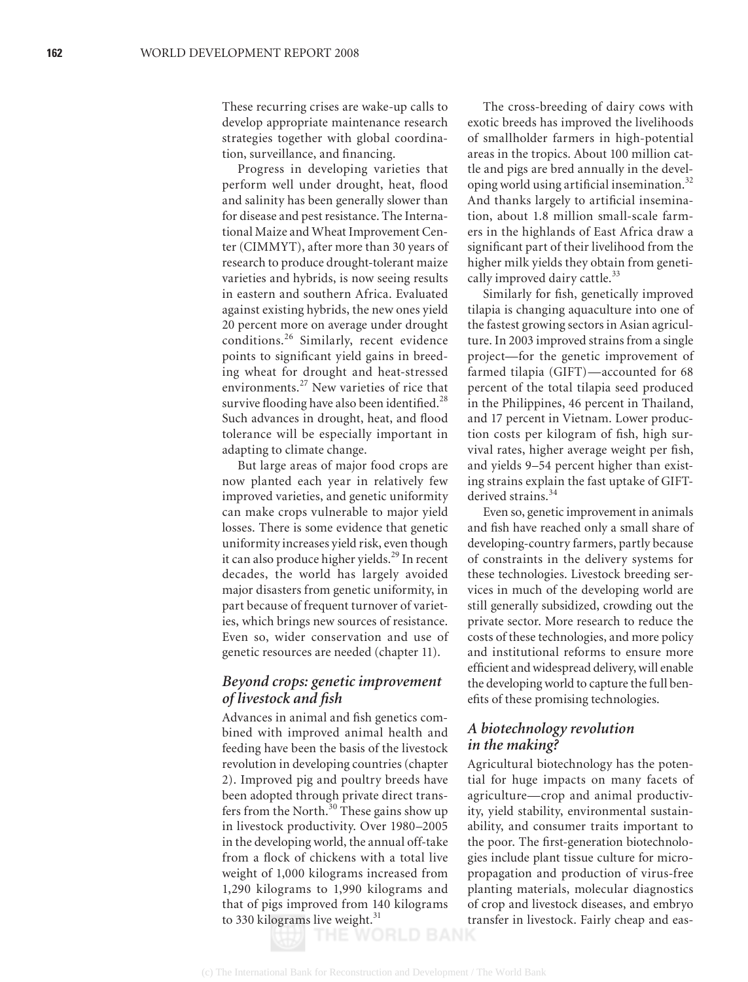These recurring crises are wake-up calls to develop appropriate maintenance research strategies together with global coordination, surveillance, and financing.

Progress in developing varieties that perform well under drought, heat, flood and salinity has been generally slower than for disease and pest resistance. The International Maize and Wheat Improvement Center (CIMMYT), after more than 30 years of research to produce drought-tolerant maize varieties and hybrids, is now seeing results in eastern and southern Africa. Evaluated against existing hybrids, the new ones yield 20 percent more on average under drought conditions.26 Similarly, recent evidence points to significant yield gains in breeding wheat for drought and heat-stressed environments.27 New varieties of rice that survive flooding have also been identified.<sup>28</sup> Such advances in drought, heat, and flood tolerance will be especially important in adapting to climate change.

But large areas of major food crops are now planted each year in relatively few improved varieties, and genetic uniformity can make crops vulnerable to major yield losses. There is some evidence that genetic uniformity increases yield risk, even though it can also produce higher yields.<sup>29</sup> In recent decades, the world has largely avoided major disasters from genetic uniformity, in part because of frequent turnover of varieties, which brings new sources of resistance. Even so, wider conservation and use of genetic resources are needed (chapter 11).

## *Beyond crops: genetic improvement of livestock and fi sh*

Advances in animal and fish genetics combined with improved animal health and feeding have been the basis of the livestock revolution in developing countries (chapter 2). Improved pig and poultry breeds have been adopted through private direct transfers from the North.<sup>30</sup> These gains show up in livestock productivity. Over 1980–2005 in the developing world, the annual off-take from a flock of chickens with a total live weight of 1,000 kilograms increased from 1,290 kilograms to 1,990 kilograms and that of pigs improved from 140 kilograms to 330 kilograms live weight.<sup>31</sup>

The cross-breeding of dairy cows with exotic breeds has improved the livelihoods of smallholder farmers in high-potential areas in the tropics. About 100 million cattle and pigs are bred annually in the developing world using artificial insemination.<sup>32</sup> And thanks largely to artificial insemination, about 1.8 million small-scale farmers in the highlands of East Africa draw a significant part of their livelihood from the higher milk yields they obtain from genetically improved dairy cattle.<sup>33</sup>

Similarly for fish, genetically improved tilapia is changing aquaculture into one of the fastest growing sectors in Asian agriculture. In 2003 improved strains from a single project—for the genetic improvement of farmed tilapia (GIFT)—accounted for 68 percent of the total tilapia seed produced in the Philippines, 46 percent in Thailand, and 17 percent in Vietnam. Lower production costs per kilogram of fish, high survival rates, higher average weight per fish, and yields 9–54 percent higher than existing strains explain the fast uptake of GIFTderived strains.<sup>34</sup>

Even so, genetic improvement in animals and fish have reached only a small share of developing-country farmers, partly because of constraints in the delivery systems for these technologies. Livestock breeding services in much of the developing world are still generally subsidized, crowding out the private sector. More research to reduce the costs of these technologies, and more policy and institutional reforms to ensure more efficient and widespread delivery, will enable the developing world to capture the full benefits of these promising technologies.

## *A biotechnology revolution in the making?*

Agricultural biotechnology has the potential for huge impacts on many facets of agriculture—crop and animal productivity, yield stability, environmental sustainability, and consumer traits important to the poor. The first-generation biotechnologies include plant tissue culture for micropropagation and production of virus-free planting materials, molecular diagnostics of crop and livestock diseases, and embryo transfer in livestock. Fairly cheap and eas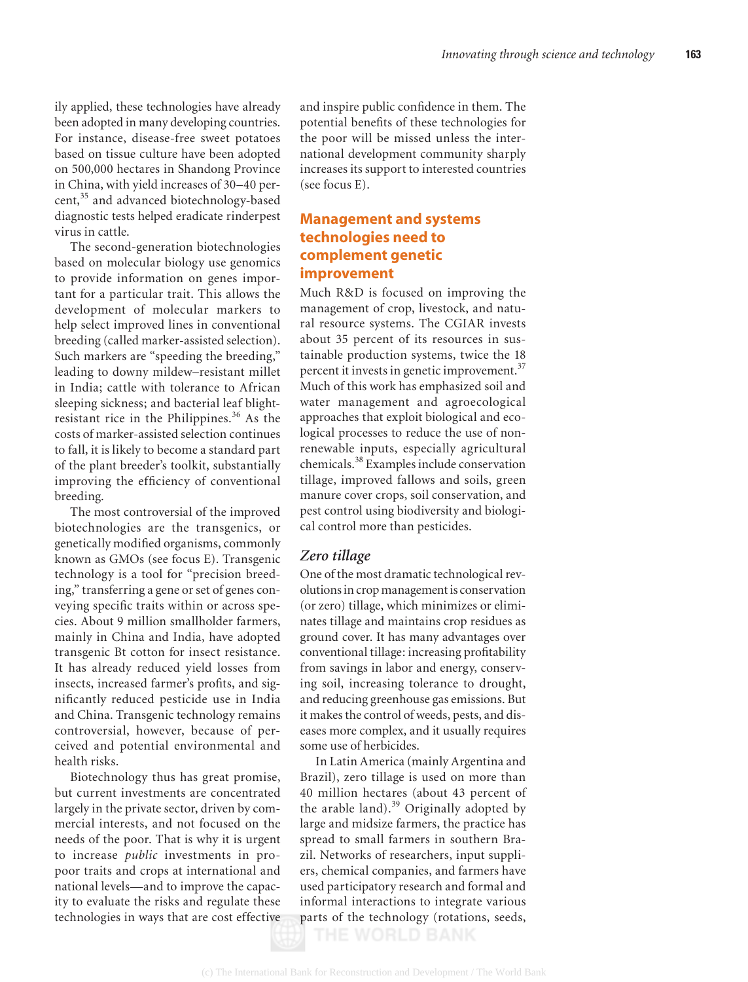ily applied, these technologies have already been adopted in many developing countries. For instance, disease-free sweet potatoes based on tissue culture have been adopted on 500,000 hectares in Shandong Province in China, with yield increases of 30–40 percent,<sup>35</sup> and advanced biotechnology-based diagnostic tests helped eradicate rinderpest virus in cattle.

The second-generation biotechnologies based on molecular biology use genomics to provide information on genes important for a particular trait. This allows the development of molecular markers to help select improved lines in conventional breeding (called marker-assisted selection). Such markers are "speeding the breeding," leading to downy mildew–resistant millet in India; cattle with tolerance to African sleeping sickness; and bacterial leaf blightresistant rice in the Philippines. $36$  As the costs of marker-assisted selection continues to fall, it is likely to become a standard part of the plant breeder's toolkit, substantially improving the efficiency of conventional breeding.

The most controversial of the improved biotechnologies are the transgenics, or genetically modified organisms, commonly known as GMOs (see focus E). Transgenic technology is a tool for "precision breeding," transferring a gene or set of genes conveying specific traits within or across species. About 9 million smallholder farmers, mainly in China and India, have adopted transgenic Bt cotton for insect resistance. It has already reduced yield losses from insects, increased farmer's profits, and significantly reduced pesticide use in India and China. Transgenic technology remains controversial, however, because of perceived and potential environmental and health risks.

Biotechnology thus has great promise, but current investments are concentrated largely in the private sector, driven by commercial interests, and not focused on the needs of the poor. That is why it is urgent to increase *public* investments in propoor traits and crops at international and national levels—and to improve the capacity to evaluate the risks and regulate these technologies in ways that are cost effective

and inspire public confidence in them. The potential benefits of these technologies for the poor will be missed unless the international development community sharply increases its support to interested countries (see focus E).

# **Management and systems technologies need to complement genetic improvement**

Much R&D is focused on improving the management of crop, livestock, and natural resource systems. The CGIAR invests about 35 percent of its resources in sustainable production systems, twice the 18 percent it invests in genetic improvement.<sup>37</sup> Much of this work has emphasized soil and water management and agroecological approaches that exploit biological and ecological processes to reduce the use of nonrenewable inputs, especially agricultural chemicals.38 Examples include conservation tillage, improved fallows and soils, green manure cover crops, soil conservation, and pest control using biodiversity and biological control more than pesticides.

## *Zero tillage*

One of the most dramatic technological revolutions in crop management is conservation (or zero) tillage, which minimizes or eliminates tillage and maintains crop residues as ground cover. It has many advantages over conventional tillage: increasing profitability from savings in labor and energy, conserving soil, increasing tolerance to drought, and reducing greenhouse gas emissions. But it makes the control of weeds, pests, and diseases more complex, and it usually requires some use of herbicides.

In Latin America (mainly Argentina and Brazil), zero tillage is used on more than 40 million hectares (about 43 percent of the arable land). $39$  Originally adopted by large and midsize farmers, the practice has spread to small farmers in southern Brazil. Networks of researchers, input suppliers, chemical companies, and farmers have used participatory research and formal and informal interactions to integrate various parts of the technology (rotations, seeds,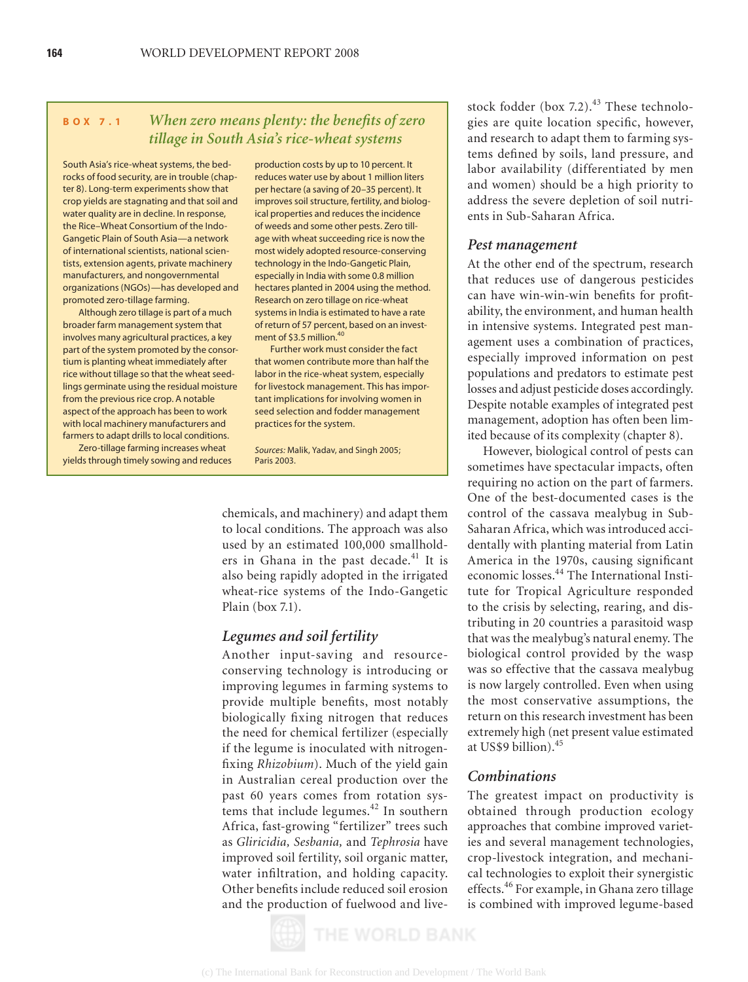# **BOX 7.1** *When zero means plenty: the benefits of zero tillage in South Asia's rice-wheat systems*

South Asia's rice-wheat systems, the bedrocks of food security, are in trouble (chapter 8). Long-term experiments show that crop yields are stagnating and that soil and water quality are in decline. In response, the Rice–Wheat Consortium of the Indo-Gangetic Plain of South Asia—a network of international scientists, national scientists, extension agents, private machinery manufacturers, and nongovernmental organizations (NGOs)—has developed and promoted zero-tillage farming.

Although zero tillage is part of a much broader farm management system that involves many agricultural practices, a key part of the system promoted by the consortium is planting wheat immediately after rice without tillage so that the wheat seedlings germinate using the residual moisture from the previous rice crop. A notable aspect of the approach has been to work with local machinery manufacturers and farmers to adapt drills to local conditions.

Zero-tillage farming increases wheat yields through timely sowing and reduces production costs by up to 10 percent. It reduces water use by about 1 million liters per hectare (a saving of 20–35 percent). It improves soil structure, fertility, and biological properties and reduces the incidence of weeds and some other pests. Zero tillage with wheat succeeding rice is now the most widely adopted resource-conserving technology in the Indo-Gangetic Plain, especially in India with some 0.8 million hectares planted in 2004 using the method. Research on zero tillage on rice-wheat systems in India is estimated to have a rate of return of 57 percent, based on an investment of \$3.5 million.<sup>40</sup>

Further work must consider the fact that women contribute more than half the labor in the rice-wheat system, especially for livestock management. This has important implications for involving women in seed selection and fodder management practices for the system.

*Sources:* Malik, Yadav, and Singh 2005; Paris 2003.

chemicals, and machinery) and adapt them to local conditions. The approach was also used by an estimated 100,000 smallholders in Ghana in the past decade.<sup>41</sup> It is also being rapidly adopted in the irrigated wheat-rice systems of the Indo-Gangetic Plain (box 7.1).

#### *Legumes and soil fertility*

Another input-saving and resourceconserving technology is introducing or improving legumes in farming systems to provide multiple benefits, most notably biologically fixing nitrogen that reduces the need for chemical fertilizer (especially if the legume is inoculated with nitrogenfi xing *Rhizobium*). Much of the yield gain in Australian cereal production over the past 60 years comes from rotation systems that include legumes.<sup>42</sup> In southern Africa, fast-growing "fertilizer" trees such as *Gliricidia, Sesbania,* and *Tephrosia* have improved soil fertility, soil organic matter, water infiltration, and holding capacity. Other benefits include reduced soil erosion and the production of fuelwood and livestock fodder (box  $7.2$ ).<sup>43</sup> These technologies are quite location specific, however, and research to adapt them to farming systems defined by soils, land pressure, and labor availability (differentiated by men and women) should be a high priority to address the severe depletion of soil nutrients in Sub-Saharan Africa.

#### *Pest management*

At the other end of the spectrum, research that reduces use of dangerous pesticides can have win-win-win benefits for profitability, the environment, and human health in intensive systems. Integrated pest management uses a combination of practices, especially improved information on pest populations and predators to estimate pest losses and adjust pesticide doses accordingly. Despite notable examples of integrated pest management, adoption has often been limited because of its complexity (chapter 8).

However, biological control of pests can sometimes have spectacular impacts, often requiring no action on the part of farmers. One of the best-documented cases is the control of the cassava mealybug in Sub-Saharan Africa, which was introduced accidentally with planting material from Latin America in the 1970s, causing significant economic losses.44 The International Institute for Tropical Agriculture responded to the crisis by selecting, rearing, and distributing in 20 countries a parasitoid wasp that was the mealybug's natural enemy. The biological control provided by the wasp was so effective that the cassava mealybug is now largely controlled. Even when using the most conservative assumptions, the return on this research investment has been extremely high (net present value estimated at US\$9 billion).45

#### *Combinations*

The greatest impact on productivity is obtained through production ecology approaches that combine improved varieties and several management technologies, crop-livestock integration, and mechanical technologies to exploit their synergistic effects.46 For example, in Ghana zero tillage is combined with improved legume-based

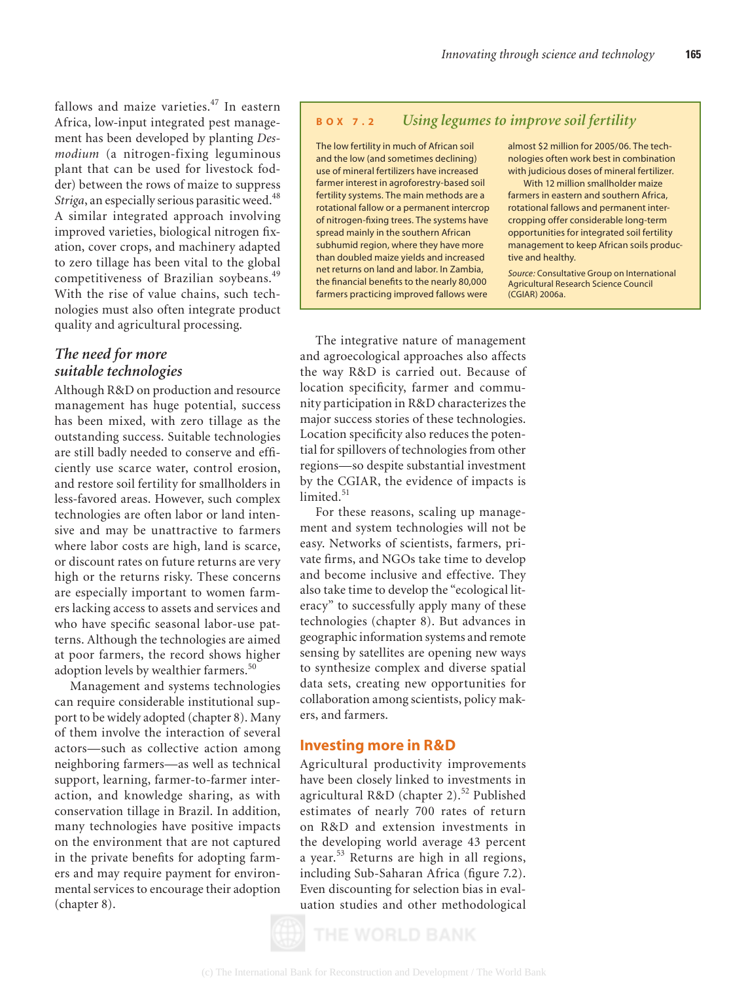fallows and maize varieties. $47$  In eastern Africa, low-input integrated pest management has been developed by planting *Desmodium* (a nitrogen-fixing leguminous plant that can be used for livestock fodder) between the rows of maize to suppress *Striga*, an especially serious parasitic weed.<sup>48</sup> A similar integrated approach involving improved varieties, biological nitrogen fixation, cover crops, and machinery adapted to zero tillage has been vital to the global competitiveness of Brazilian soybeans.<sup>49</sup> With the rise of value chains, such technologies must also often integrate product quality and agricultural processing.

## *The need for more suitable technologies*

Although R&D on production and resource management has huge potential, success has been mixed, with zero tillage as the outstanding success. Suitable technologies are still badly needed to conserve and efficiently use scarce water, control erosion, and restore soil fertility for smallholders in less-favored areas. However, such complex technologies are often labor or land intensive and may be unattractive to farmers where labor costs are high, land is scarce, or discount rates on future returns are very high or the returns risky. These concerns are especially important to women farmers lacking access to assets and services and who have specific seasonal labor-use patterns. Although the technologies are aimed at poor farmers, the record shows higher adoption levels by wealthier farmers.<sup>50</sup>

Management and systems technologies can require considerable institutional support to be widely adopted (chapter 8). Many of them involve the interaction of several actors—such as collective action among neighboring farmers—as well as technical support, learning, farmer-to-farmer interaction, and knowledge sharing, as with conservation tillage in Brazil. In addition, many technologies have positive impacts on the environment that are not captured in the private benefits for adopting farmers and may require payment for environmental services to encourage their adoption (chapter 8).

## **BOX 7.2** *Using legumes to improve soil fertility*

The low fertility in much of African soil and the low (and sometimes declining) use of mineral fertilizers have increased farmer interest in agroforestry-based soil fertility systems. The main methods are a rotational fallow or a permanent intercrop of nitrogen-fixing trees. The systems have spread mainly in the southern African subhumid region, where they have more than doubled maize yields and increased net returns on land and labor. In Zambia, the financial benefits to the nearly 80,000 farmers practicing improved fallows were

almost \$2 million for 2005/06. The technologies often work best in combination with judicious doses of mineral fertilizer.

With 12 million smallholder maize farmers in eastern and southern Africa, rotational fallows and permanent intercropping offer considerable long-term opportunities for integrated soil fertility management to keep African soils productive and healthy.

*Source:* Consultative Group on International Agricultural Research Science Council (CGIAR) 2006a.

The integrative nature of management and agroecological approaches also affects the way R&D is carried out. Because of location specificity, farmer and community participation in R&D characterizes the major success stories of these technologies. Location specificity also reduces the potential for spillovers of technologies from other regions—so despite substantial investment by the CGIAR, the evidence of impacts is limited.<sup>51</sup>

For these reasons, scaling up management and system technologies will not be easy. Networks of scientists, farmers, private firms, and NGOs take time to develop and become inclusive and effective. They also take time to develop the "ecological literacy" to successfully apply many of these technologies (chapter 8). But advances in geographic information systems and remote sensing by satellites are opening new ways to synthesize complex and diverse spatial data sets, creating new opportunities for collaboration among scientists, policy makers, and farmers.

#### **Investing more in R&D**

Agricultural productivity improvements have been closely linked to investments in agricultural R&D (chapter 2).<sup>52</sup> Published estimates of nearly 700 rates of return on R&D and extension investments in the developing world average 43 percent a year.<sup>53</sup> Returns are high in all regions, including Sub-Saharan Africa (figure 7.2). Even discounting for selection bias in evaluation studies and other methodological

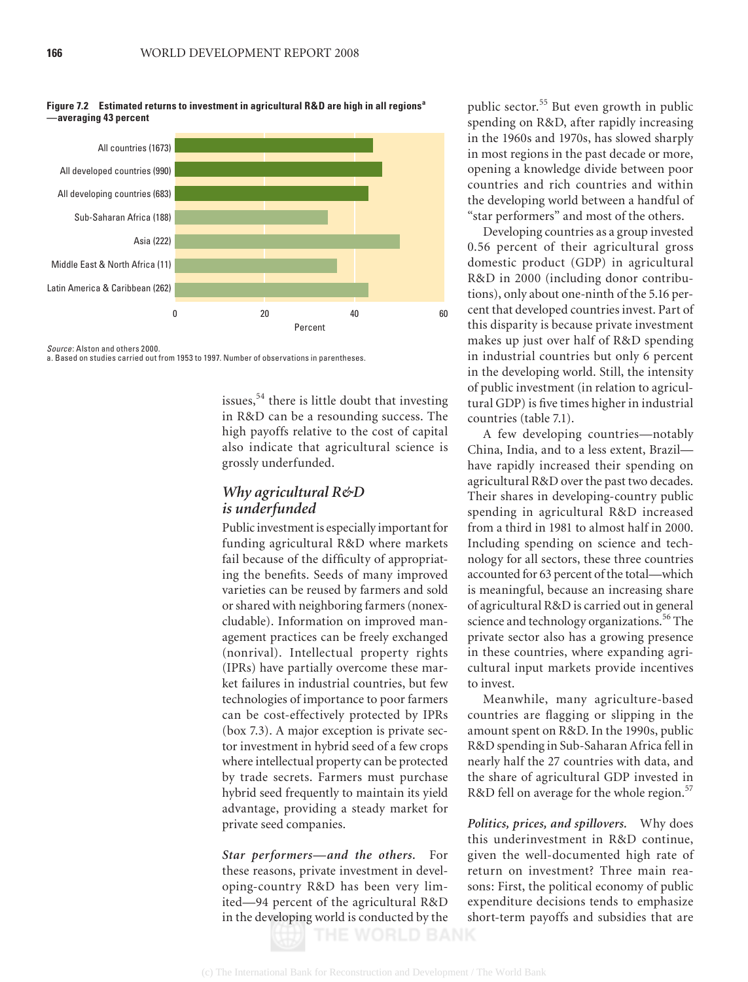

**Figure 7.2 Estimated returns to investment in agricultural R&D are high in all regions<sup>a</sup> —averaging 43 percent**

Source: Alston and others 2000.

a. Based on studies carried out from 1953 to 1997. Number of observations in parentheses.

issues,  $54$  there is little doubt that investing in R&D can be a resounding success. The high payoffs relative to the cost of capital also indicate that agricultural science is grossly underfunded.

## *Why agricultural R&D is underfunded*

Public investment is especially important for funding agricultural R&D where markets fail because of the difficulty of appropriating the benefits. Seeds of many improved varieties can be reused by farmers and sold or shared with neighboring farmers (nonexcludable). Information on improved management practices can be freely exchanged (nonrival). Intellectual property rights (IPRs) have partially overcome these market failures in industrial countries, but few technologies of importance to poor farmers can be cost-effectively protected by IPRs (box 7.3). A major exception is private sector investment in hybrid seed of a few crops where intellectual property can be protected by trade secrets. Farmers must purchase hybrid seed frequently to maintain its yield advantage, providing a steady market for private seed companies.

*Star performers—and the others.* For these reasons, private investment in developing-country R&D has been very limited—94 percent of the agricultural R&D in the developing world is conducted by the

public sector.55 But even growth in public spending on R&D, after rapidly increasing in the 1960s and 1970s, has slowed sharply in most regions in the past decade or more, opening a knowledge divide between poor countries and rich countries and within the developing world between a handful of "star performers" and most of the others.

Developing countries as a group invested 0.56 percent of their agricultural gross domestic product (GDP) in agricultural R&D in 2000 (including donor contributions), only about one-ninth of the 5.16 percent that developed countries invest. Part of this disparity is because private investment makes up just over half of R&D spending in industrial countries but only 6 percent in the developing world. Still, the intensity of public investment (in relation to agricultural GDP) is five times higher in industrial countries (table 7.1).

A few developing countries—notably China, India, and to a less extent, Brazil have rapidly increased their spending on agricultural R&D over the past two decades. Their shares in developing-country public spending in agricultural R&D increased from a third in 1981 to almost half in 2000. Including spending on science and technology for all sectors, these three countries accounted for 63 percent of the total—which is meaningful, because an increasing share of agricultural R&D is carried out in general science and technology organizations.<sup>56</sup> The private sector also has a growing presence in these countries, where expanding agricultural input markets provide incentives to invest.

Meanwhile, many agriculture-based countries are flagging or slipping in the amount spent on R&D. In the 1990s, public R&D spending in Sub-Saharan Africa fell in nearly half the 27 countries with data, and the share of agricultural GDP invested in R&D fell on average for the whole region. $57$ 

*Politics, prices, and spillovers.* Why does this underinvestment in R&D continue, given the well-documented high rate of return on investment? Three main reasons: First, the political economy of public expenditure decisions tends to emphasize short-term payoffs and subsidies that are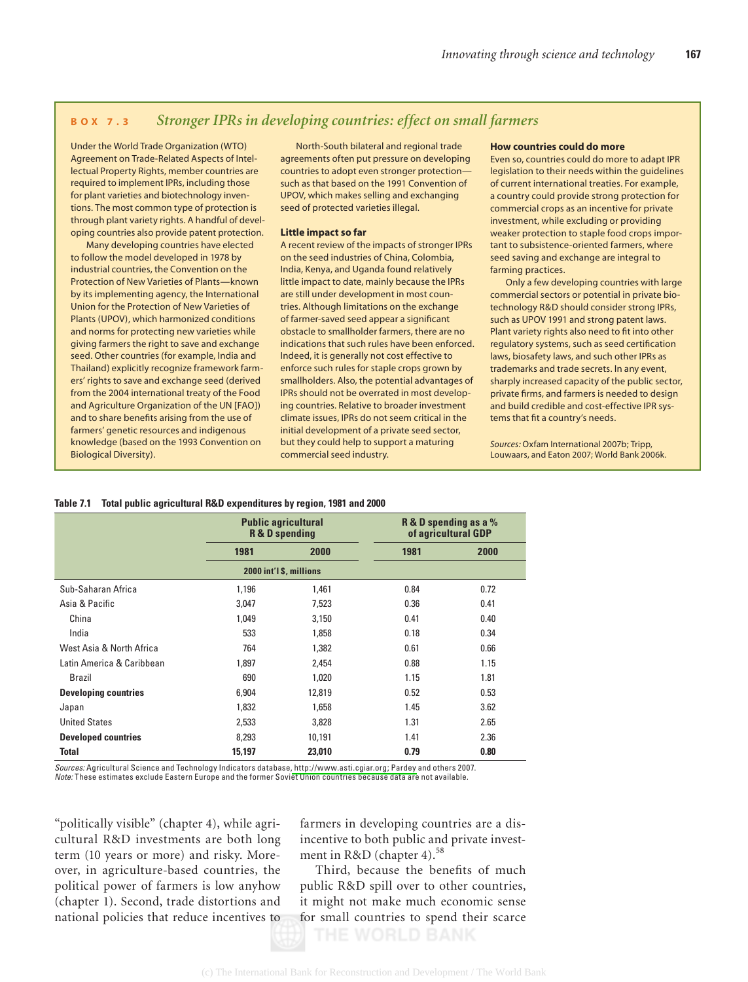## **BOX 7.3** *Stronger IPRs in developing countries: effect on small farmers*

Under the World Trade Organization (WTO) Agreement on Trade-Related Aspects of Intellectual Property Rights, member countries are required to implement IPRs, including those for plant varieties and biotechnology inventions. The most common type of protection is through plant variety rights. A handful of developing countries also provide patent protection.

Many developing countries have elected to follow the model developed in 1978 by industrial countries, the Convention on the Protection of New Varieties of Plants—known by its implementing agency, the International Union for the Protection of New Varieties of Plants (UPOV), which harmonized conditions and norms for protecting new varieties while giving farmers the right to save and exchange seed. Other countries (for example, India and Thailand) explicitly recognize framework farmers' rights to save and exchange seed (derived from the 2004 international treaty of the Food and Agriculture Organization of the UN [FAO]) and to share benefits arising from the use of farmers' genetic resources and indigenous knowledge (based on the 1993 Convention on Biological Diversity).

North-South bilateral and regional trade agreements often put pressure on developing countries to adopt even stronger protection such as that based on the 1991 Convention of UPOV, which makes selling and exchanging seed of protected varieties illegal.

#### **Little impact so far**

A recent review of the impacts of stronger IPRs on the seed industries of China, Colombia, India, Kenya, and Uganda found relatively little impact to date, mainly because the IPRs are still under development in most countries. Although limitations on the exchange of farmer-saved seed appear a significant obstacle to smallholder farmers, there are no indications that such rules have been enforced. Indeed, it is generally not cost effective to enforce such rules for staple crops grown by smallholders. Also, the potential advantages of IPRs should not be overrated in most developing countries. Relative to broader investment climate issues, IPRs do not seem critical in the initial development of a private seed sector, but they could help to support a maturing commercial seed industry.

#### **How countries could do more**

Even so, countries could do more to adapt IPR legislation to their needs within the guidelines of current international treaties. For example, a country could provide strong protection for commercial crops as an incentive for private investment, while excluding or providing weaker protection to staple food crops important to subsistence-oriented farmers, where seed saving and exchange are integral to farming practices.

Only a few developing countries with large commercial sectors or potential in private biotechnology R&D should consider strong IPRs, such as UPOV 1991 and strong patent laws. Plant variety rights also need to fit into other regulatory systems, such as seed certification laws, biosafety laws, and such other IPRs as trademarks and trade secrets. In any event, sharply increased capacity of the public sector, private firms, and farmers is needed to design and build credible and cost-effective IPR systems that fit a country's needs.

*Sources:* Oxfam International 2007b; Tripp, Louwaars, and Eaton 2007; World Bank 2006k.

|  |  | Table 7.1 Total public agricultural R&D expenditures by region, 1981 and 2000 |  |  |  |
|--|--|-------------------------------------------------------------------------------|--|--|--|
|--|--|-------------------------------------------------------------------------------|--|--|--|

|                             | <b>Public agricultural</b><br><b>R &amp; D spending</b> |        | R & D spending as a %<br>of agricultural GDP |      |  |
|-----------------------------|---------------------------------------------------------|--------|----------------------------------------------|------|--|
|                             | 1981                                                    | 2000   | 1981                                         | 2000 |  |
| 2000 int'l \$, millions     |                                                         |        |                                              |      |  |
| Sub-Saharan Africa          | 1,196                                                   | 1,461  | 0.84                                         | 0.72 |  |
| Asia & Pacific              | 3,047                                                   | 7,523  | 0.36                                         | 0.41 |  |
| China                       | 1,049                                                   | 3,150  | 0.41                                         | 0.40 |  |
| India                       | 533                                                     | 1,858  | 0.18                                         | 0.34 |  |
| West Asia & North Africa    | 764                                                     | 1,382  | 0.61                                         | 0.66 |  |
| Latin America & Caribbean   | 1,897                                                   | 2,454  | 0.88                                         | 1.15 |  |
| Brazil                      | 690                                                     | 1,020  | 1.15                                         | 1.81 |  |
| <b>Developing countries</b> | 6,904                                                   | 12,819 | 0.52                                         | 0.53 |  |
| Japan                       | 1,832                                                   | 1,658  | 1.45                                         | 3.62 |  |
| <b>United States</b>        | 2,533                                                   | 3,828  | 1.31                                         | 2.65 |  |
| <b>Developed countries</b>  | 8,293                                                   | 10,191 | 1.41                                         | 2.36 |  |
| <b>Total</b>                | 15,197                                                  | 23,010 | 0.79                                         | 0.80 |  |

Sources: Agricultural Science and Technology Indicators database[, http://www.asti.cgiar.org; Pardey](http://www.asti.cgiar.org;Pardey) and others 2007. Note: These estimates exclude Eastern Europe and the former Soviet Union countries because data are not available.

"politically visible" (chapter 4), while agricultural R&D investments are both long term (10 years or more) and risky. Moreover, in agriculture-based countries, the political power of farmers is low anyhow (chapter 1). Second, trade distortions and national policies that reduce incentives to

farmers in developing countries are a disincentive to both public and private investment in R&D (chapter 4).<sup>58</sup>

Third, because the benefits of much public R&D spill over to other countries, it might not make much economic sense for small countries to spend their scarce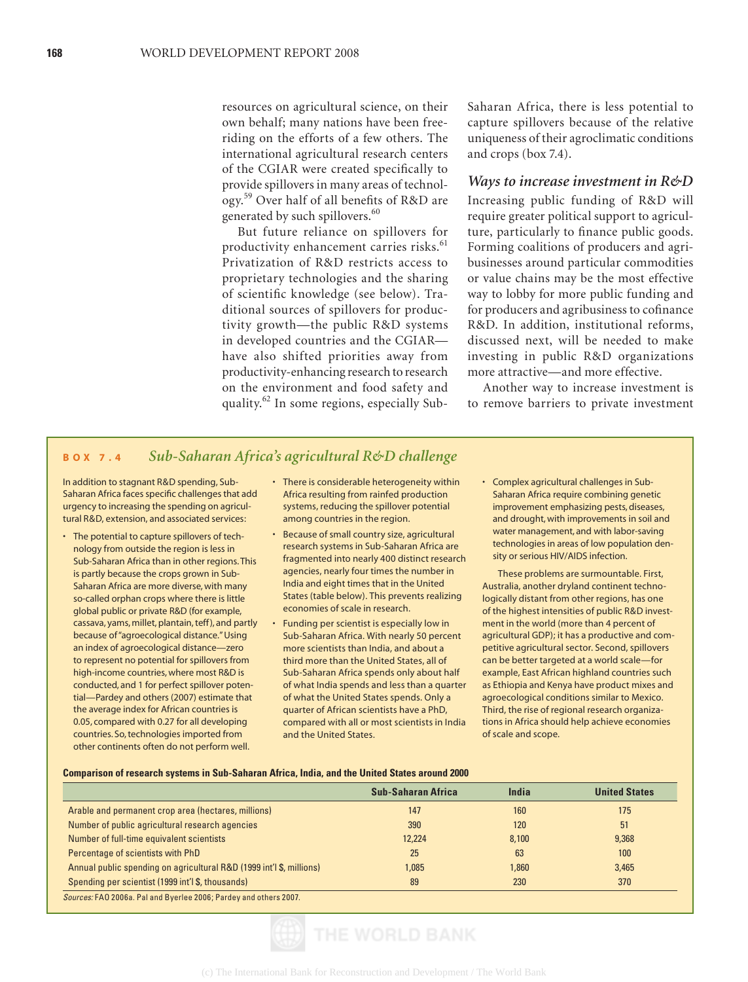resources on agricultural science, on their own behalf; many nations have been freeriding on the efforts of a few others. The international agricultural research centers of the CGIAR were created specifically to provide spillovers in many areas of technology.<sup>59</sup> Over half of all benefits of R&D are generated by such spillovers.<sup>60</sup>

But future reliance on spillovers for productivity enhancement carries risks.<sup>61</sup> Privatization of R&D restricts access to proprietary technologies and the sharing of scientific knowledge (see below). Traditional sources of spillovers for productivity growth—the public R&D systems in developed countries and the CGIAR have also shifted priorities away from productivity-enhancing research to research on the environment and food safety and quality.<sup>62</sup> In some regions, especially Sub-

Saharan Africa, there is less potential to capture spillovers because of the relative uniqueness of their agroclimatic conditions and crops (box 7.4).

#### *Ways to increase investment in R&D*

Increasing public funding of R&D will require greater political support to agriculture, particularly to finance public goods. Forming coalitions of producers and agribusinesses around particular commodities or value chains may be the most effective way to lobby for more public funding and for producers and agribusiness to cofinance R&D. In addition, institutional reforms, discussed next, will be needed to make investing in public R&D organizations more attractive—and more effective.

Another way to increase investment is to remove barriers to private investment

## **BOX 7.4** *Sub-Saharan Africa's agricultural R&D challenge*

In addition to stagnant R&D spending, Sub-Saharan Africa faces specific challenges that add urgency to increasing the spending on agricultural R&D, extension, and associated services:

- The potential to capture spillovers of technology from outside the region is less in Sub-Saharan Africa than in other regions. This is partly because the crops grown in Sub-Saharan Africa are more diverse, with many so-called orphan crops where there is little global public or private R&D (for example, cassava, yams, millet, plantain, teff ), and partly because of "agroecological distance." Using an index of agroecological distance—zero to represent no potential for spillovers from high-income countries, where most R&D is conducted, and 1 for perfect spillover potential—Pardey and others (2007) estimate that the average index for African countries is 0.05, compared with 0.27 for all developing countries. So, technologies imported from other continents often do not perform well.
- There is considerable heterogeneity within Africa resulting from rainfed production systems, reducing the spillover potential among countries in the region.
- Because of small country size, agricultural research systems in Sub-Saharan Africa are fragmented into nearly 400 distinct research agencies, nearly four times the number in India and eight times that in the United States (table below). This prevents realizing economies of scale in research.
- Funding per scientist is especially low in Sub-Saharan Africa. With nearly 50 percent more scientists than India, and about a third more than the United States, all of Sub-Saharan Africa spends only about half of what India spends and less than a quarter of what the United States spends. Only a quarter of African scientists have a PhD, compared with all or most scientists in India and the United States.
- Complex agricultural challenges in Sub-Saharan Africa require combining genetic improvement emphasizing pests, diseases, and drought, with improvements in soil and water management, and with labor-saving technologies in areas of low population density or serious HIV/AIDS infection.

These problems are surmountable. First, Australia, another dryland continent technologically distant from other regions, has one of the highest intensities of public R&D investment in the world (more than 4 percent of agricultural GDP); it has a productive and competitive agricultural sector. Second, spillovers can be better targeted at a world scale—for example, East African highland countries such as Ethiopia and Kenya have product mixes and agroecological conditions similar to Mexico. Third, the rise of regional research organizations in Africa should help achieve economies of scale and scope.

#### **Comparison of research systems in Sub-Saharan Africa, India, and the United States around 2000**

|                                                                      | <b>Sub-Saharan Africa</b> | India | <b>United States</b> |
|----------------------------------------------------------------------|---------------------------|-------|----------------------|
| Arable and permanent crop area (hectares, millions)                  | 147                       | 160   | 175                  |
| Number of public agricultural research agencies                      | 390                       | 120   | 51                   |
| Number of full-time equivalent scientists                            | 12.224                    | 8.100 | 9.368                |
| Percentage of scientists with PhD                                    | 25                        | 63    | 100                  |
| Annual public spending on agricultural R&D (1999 int'l \$, millions) | 1,085                     | 1,860 | 3.465                |
| Spending per scientist (1999 int'l \$, thousands)                    | 89                        | 230   | 370                  |
| Sources: FAO 2006a. Pal and Byerlee 2006; Pardey and others 2007.    |                           |       |                      |

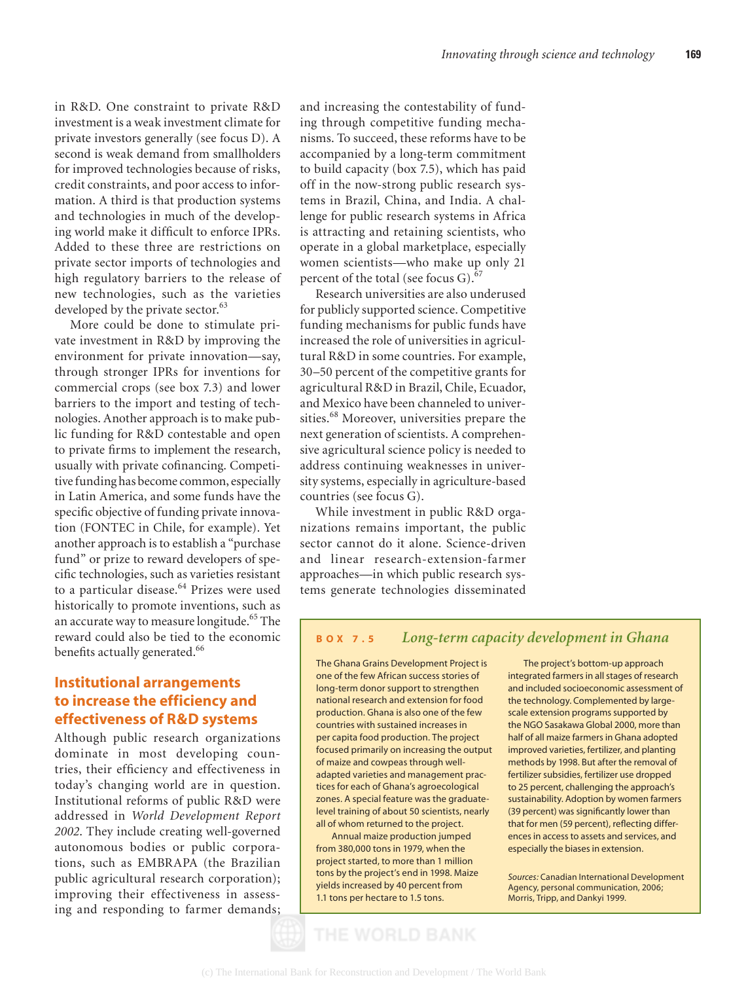in R&D. One constraint to private R&D investment is a weak investment climate for private investors generally (see focus D). A second is weak demand from smallholders for improved technologies because of risks, credit constraints, and poor access to information. A third is that production systems and technologies in much of the developing world make it difficult to enforce IPRs. Added to these three are restrictions on private sector imports of technologies and high regulatory barriers to the release of new technologies, such as the varieties developed by the private sector.<sup>63</sup>

More could be done to stimulate private investment in R&D by improving the environment for private innovation—say, through stronger IPRs for inventions for commercial crops (see box 7.3) and lower barriers to the import and testing of technologies. Another approach is to make public funding for R&D contestable and open to private firms to implement the research, usually with private cofinancing. Competitive funding has become common, especially in Latin America, and some funds have the specific objective of funding private innovation (FONTEC in Chile, for example). Yet another approach is to establish a "purchase fund" or prize to reward developers of specific technologies, such as varieties resistant to a particular disease.<sup>64</sup> Prizes were used historically to promote inventions, such as an accurate way to measure longitude.<sup>65</sup> The reward could also be tied to the economic benefits actually generated.<sup>66</sup>

## **Institutional arrangements to increase the efficiency and effectiveness of R&D systems**

Although public research organizations dominate in most developing countries, their efficiency and effectiveness in today's changing world are in question. Institutional reforms of public R&D were addressed in *World Development Report 2002*. They include creating well-governed autonomous bodies or public corporations, such as EMBRAPA (the Brazilian public agricultural research corporation); improving their effectiveness in assessing and responding to farmer demands;

and increasing the contestability of funding through competitive funding mechanisms. To succeed, these reforms have to be accompanied by a long-term commitment to build capacity (box 7.5), which has paid off in the now-strong public research systems in Brazil, China, and India. A challenge for public research systems in Africa is attracting and retaining scientists, who operate in a global marketplace, especially women scientists—who make up only 21 percent of the total (see focus G). $67$ 

Research universities are also underused for publicly supported science. Competitive funding mechanisms for public funds have increased the role of universities in agricultural R&D in some countries. For example, 30–50 percent of the competitive grants for agricultural R&D in Brazil, Chile, Ecuador, and Mexico have been channeled to universities.<sup>68</sup> Moreover, universities prepare the next generation of scientists. A comprehensive agricultural science policy is needed to address continuing weaknesses in university systems, especially in agriculture-based countries (see focus G).

While investment in public R&D organizations remains important, the public sector cannot do it alone. Science-driven and linear research-extension-farmer approaches—in which public research systems generate technologies disseminated

#### **BOX 7.5** *Long-term capacity development in Ghana*

The Ghana Grains Development Project is one of the few African success stories of long-term donor support to strengthen national research and extension for food production. Ghana is also one of the few countries with sustained increases in per capita food production. The project focused primarily on increasing the output of maize and cowpeas through welladapted varieties and management practices for each of Ghana's agroecological zones. A special feature was the graduatelevel training of about 50 scientists, nearly all of whom returned to the project.

Annual maize production jumped from 380,000 tons in 1979, when the project started, to more than 1 million tons by the project's end in 1998. Maize yields increased by 40 percent from 1.1 tons per hectare to 1.5 tons.

The project's bottom-up approach integrated farmers in all stages of research and included socioeconomic assessment of the technology. Complemented by largescale extension programs supported by the NGO Sasakawa Global 2000, more than half of all maize farmers in Ghana adopted improved varieties, fertilizer, and planting methods by 1998. But after the removal of fertilizer subsidies, fertilizer use dropped to 25 percent, challenging the approach's sustainability. Adoption by women farmers (39 percent) was significantly lower than that for men (59 percent), reflecting differences in access to assets and services, and especially the biases in extension.

*Sources:* Canadian International Development Agency, personal communication, 2006; Morris, Tripp, and Dankyi 1999.

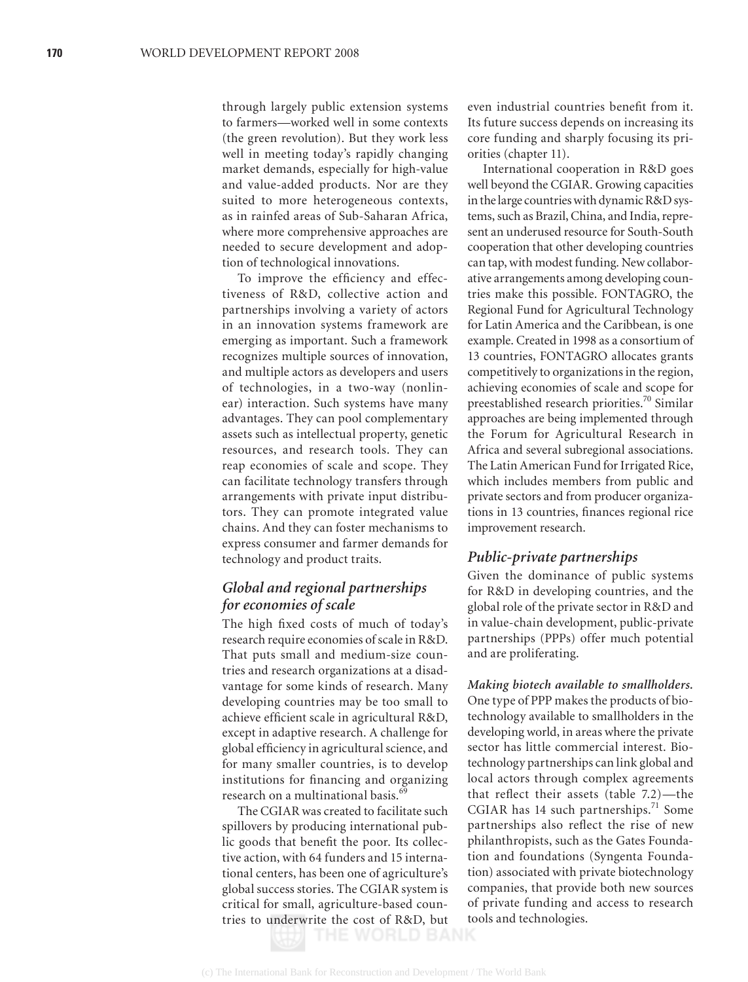through largely public extension systems to farmers—worked well in some contexts (the green revolution). But they work less well in meeting today's rapidly changing market demands, especially for high-value and value-added products. Nor are they suited to more heterogeneous contexts, as in rainfed areas of Sub-Saharan Africa, where more comprehensive approaches are needed to secure development and adoption of technological innovations.

To improve the efficiency and effectiveness of R&D, collective action and partnerships involving a variety of actors in an innovation systems framework are emerging as important. Such a framework recognizes multiple sources of innovation, and multiple actors as developers and users of technologies, in a two-way (nonlinear) interaction. Such systems have many advantages. They can pool complementary assets such as intellectual property, genetic resources, and research tools. They can reap economies of scale and scope. They can facilitate technology transfers through arrangements with private input distributors. They can promote integrated value chains. And they can foster mechanisms to express consumer and farmer demands for technology and product traits.

## *Global and regional partnerships for economies of scale*

The high fixed costs of much of today's research require economies of scale in R&D. That puts small and medium-size countries and research organizations at a disadvantage for some kinds of research. Many developing countries may be too small to achieve efficient scale in agricultural R&D, except in adaptive research. A challenge for global efficiency in agricultural science, and for many smaller countries, is to develop institutions for financing and organizing research on a multinational basis.<sup>69</sup>

The CGIAR was created to facilitate such spillovers by producing international public goods that benefit the poor. Its collective action, with 64 funders and 15 international centers, has been one of agriculture's global success stories. The CGIAR system is critical for small, agriculture-based countries to underwrite the cost of R&D, but even industrial countries benefit from it. Its future success depends on increasing its core funding and sharply focusing its priorities (chapter 11).

International cooperation in R&D goes well beyond the CGIAR. Growing capacities in the large countries with dynamic R&D systems, such as Brazil, China, and India, represent an underused resource for South-South cooperation that other developing countries can tap, with modest funding. New collaborative arrangements among developing countries make this possible. FONTAGRO, the Regional Fund for Agricultural Technology for Latin America and the Caribbean, is one example. Created in 1998 as a consortium of 13 countries, FONTAGRO allocates grants competitively to organizations in the region, achieving economies of scale and scope for preestablished research priorities.<sup>70</sup> Similar approaches are being implemented through the Forum for Agricultural Research in Africa and several subregional associations. The Latin American Fund for Irrigated Rice, which includes members from public and private sectors and from producer organizations in 13 countries, finances regional rice improvement research.

#### *Public-private partnerships*

Given the dominance of public systems for R&D in developing countries, and the global role of the private sector in R&D and in value-chain development, public-private partnerships (PPPs) offer much potential and are proliferating.

*Making biotech available to smallholders.*  One type of PPP makes the products of biotechnology available to smallholders in the developing world, in areas where the private sector has little commercial interest. Biotechnology partnerships can link global and local actors through complex agreements that reflect their assets (table  $7.2$ )—the CGIAR has 14 such partnerships. $71$  Some partnerships also reflect the rise of new philanthropists, such as the Gates Foundation and foundations (Syngenta Foundation) associated with private biotechnology companies, that provide both new sources of private funding and access to research tools and technologies.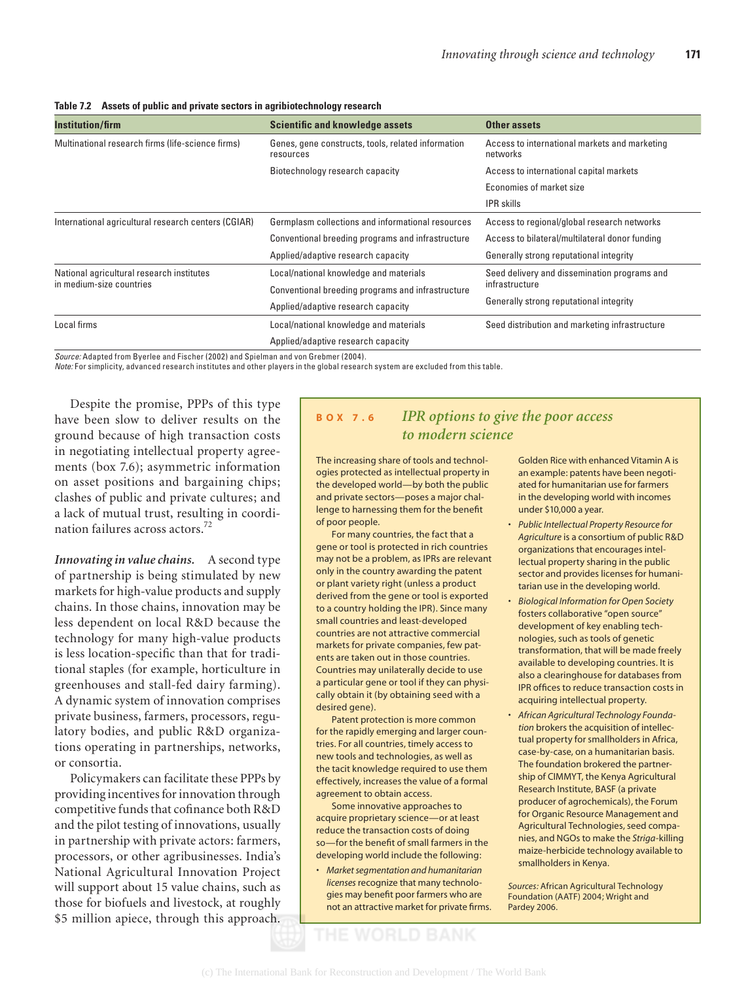**Table 7.2 Assets of public and private sectors in agribiotechnology research**

| <b>Institution/firm</b>                             | <b>Scientific and knowledge assets</b>                          | Other assets                                              |  |
|-----------------------------------------------------|-----------------------------------------------------------------|-----------------------------------------------------------|--|
| Multinational research firms (life-science firms)   | Genes, gene constructs, tools, related information<br>resources | Access to international markets and marketing<br>networks |  |
|                                                     | Biotechnology research capacity                                 | Access to international capital markets                   |  |
|                                                     |                                                                 | Economies of market size                                  |  |
|                                                     |                                                                 | <b>IPR</b> skills                                         |  |
| International agricultural research centers (CGIAR) | Germplasm collections and informational resources               | Access to regional/global research networks               |  |
|                                                     | Conventional breeding programs and infrastructure               | Access to bilateral/multilateral donor funding            |  |
|                                                     | Applied/adaptive research capacity                              | Generally strong reputational integrity                   |  |
| National agricultural research institutes           | Local/national knowledge and materials                          | Seed delivery and dissemination programs and              |  |
| in medium-size countries                            | Conventional breeding programs and infrastructure               | infrastructure                                            |  |
|                                                     | Applied/adaptive research capacity                              | Generally strong reputational integrity                   |  |
| Local firms                                         | Local/national knowledge and materials                          | Seed distribution and marketing infrastructure            |  |
|                                                     | Applied/adaptive research capacity                              |                                                           |  |

Source: Adapted from Byerlee and Fischer (2002) and Spielman and von Grebmer (2004).

Note: For simplicity, advanced research institutes and other players in the global research system are excluded from this table.

Despite the promise, PPPs of this type have been slow to deliver results on the ground because of high transaction costs in negotiating intellectual property agreements (box 7.6); asymmetric information on asset positions and bargaining chips; clashes of public and private cultures; and a lack of mutual trust, resulting in coordination failures across actors.72

*Innovating in value chains.* A second type of partnership is being stimulated by new markets for high-value products and supply chains. In those chains, innovation may be less dependent on local R&D because the technology for many high-value products is less location-specific than that for traditional staples (for example, horticulture in greenhouses and stall-fed dairy farming). A dynamic system of innovation comprises private business, farmers, processors, regulatory bodies, and public R&D organizations operating in partnerships, networks, or consortia.

Policymakers can facilitate these PPPs by providing incentives for innovation through competitive funds that cofinance both R&D and the pilot testing of innovations, usually in partnership with private actors: farmers, processors, or other agribusinesses. India's National Agricultural Innovation Project will support about 15 value chains, such as those for biofuels and livestock, at roughly \$5 million apiece, through this approach.

# **BOX 7.6** *IPR options to give the poor access to modern science*

The increasing share of tools and technologies protected as intellectual property in the developed world—by both the public and private sectors—poses a major challenge to harnessing them for the benefit of poor people.

For many countries, the fact that a gene or tool is protected in rich countries may not be a problem, as IPRs are relevant only in the country awarding the patent or plant variety right (unless a product derived from the gene or tool is exported to a country holding the IPR). Since many small countries and least-developed countries are not attractive commercial markets for private companies, few patents are taken out in those countries. Countries may unilaterally decide to use a particular gene or tool if they can physically obtain it (by obtaining seed with a desired gene).

Patent protection is more common for the rapidly emerging and larger countries. For all countries, timely access to new tools and technologies, as well as the tacit knowledge required to use them effectively, increases the value of a formal agreement to obtain access.

Some innovative approaches to acquire proprietary science—or at least reduce the transaction costs of doing so-for the benefit of small farmers in the developing world include the following:

*• Market segmentation and humanitarian licenses* recognize that many technologies may benefit poor farmers who are not an attractive market for private firms.

Golden Rice with enhanced Vitamin A is an example: patents have been negotiated for humanitarian use for farmers in the developing world with incomes under \$10,000 a year.

- *Public Intellectual Property Resource for Agriculture* is a consortium of public R&D organizations that encourages intellectual property sharing in the public sector and provides licenses for humanitarian use in the developing world.
- *Biological Information for Open Society* fosters collaborative "open source" development of key enabling technologies, such as tools of genetic transformation, that will be made freely available to developing countries. It is also a clearinghouse for databases from IPR offices to reduce transaction costs in acquiring intellectual property.
- *African Agricultural Technology Foundation* brokers the acquisition of intellectual property for smallholders in Africa, case-by-case, on a humanitarian basis. The foundation brokered the partnership of CIMMYT, the Kenya Agricultural Research Institute, BASF (a private producer of agrochemicals), the Forum for Organic Resource Management and Agricultural Technologies, seed companies, and NGOs to make the *Striga*-killing maize-herbicide technology available to smallholders in Kenya.

*Sources:* African Agricultural Technology Foundation (AATF) 2004; Wright and Pardey 2006.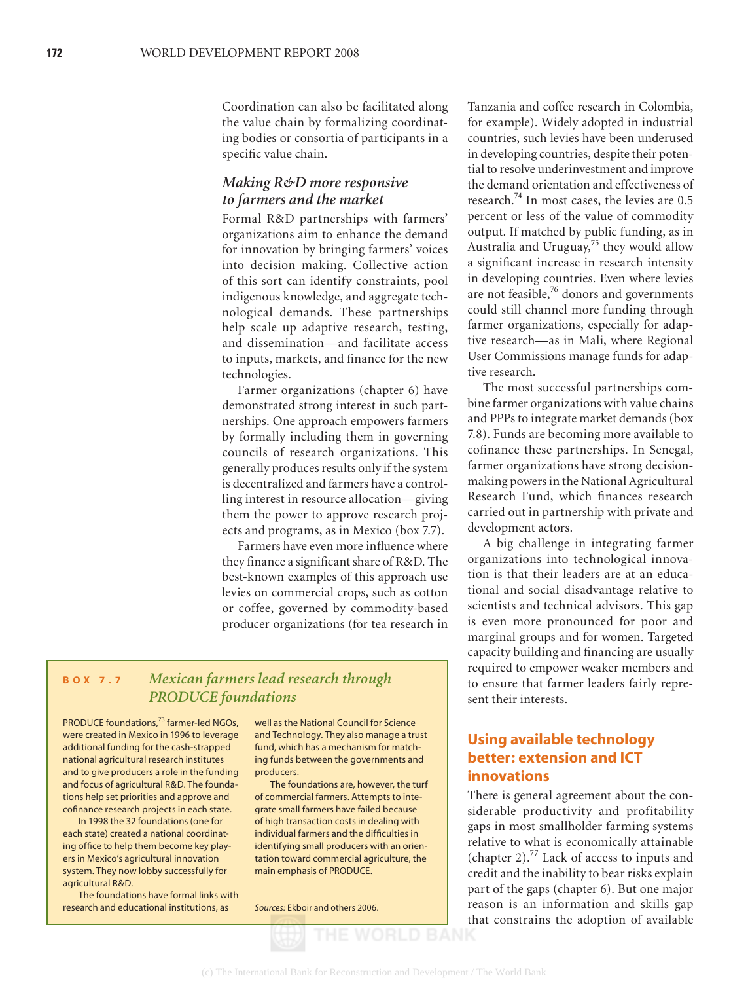Coordination can also be facilitated along the value chain by formalizing coordinating bodies or consortia of participants in a specific value chain.

#### *Making R&D more responsive to farmers and the market*

Formal R&D partnerships with farmers' organizations aim to enhance the demand for innovation by bringing farmers' voices into decision making. Collective action of this sort can identify constraints, pool indigenous knowledge, and aggregate technological demands. These partnerships help scale up adaptive research, testing, and dissemination—and facilitate access to inputs, markets, and finance for the new technologies.

Farmer organizations (chapter 6) have demonstrated strong interest in such partnerships. One approach empowers farmers by formally including them in governing councils of research organizations. This generally produces results only if the system is decentralized and farmers have a controlling interest in resource allocation—giving them the power to approve research projects and programs, as in Mexico (box 7.7).

Farmers have even more influence where they finance a significant share of R&D. The best-known examples of this approach use levies on commercial crops, such as cotton or coffee, governed by commodity-based producer organizations (for tea research in

## **BOX 7.7** *Mexican farmers lead research through PRODUCE foundations*

PRODUCE foundations,<sup>73</sup> farmer-led NGOs, were created in Mexico in 1996 to leverage additional funding for the cash-strapped national agricultural research institutes and to give producers a role in the funding and focus of agricultural R&D. The foundations help set priorities and approve and cofinance research projects in each state.

In 1998 the 32 foundations (one for each state) created a national coordinating office to help them become key players in Mexico's agricultural innovation system. They now lobby successfully for agricultural R&D.

The foundations have formal links with research and educational institutions, as

well as the National Council for Science and Technology. They also manage a trust fund, which has a mechanism for matching funds between the governments and producers.

The foundations are, however, the turf of commercial farmers. Attempts to integrate small farmers have failed because of high transaction costs in dealing with individual farmers and the difficulties in identifying small producers with an orientation toward commercial agriculture, the main emphasis of PRODUCE.

*Sources:* Ekboir and others 2006.

Tanzania and coffee research in Colombia, for example). Widely adopted in industrial countries, such levies have been underused in developing countries, despite their potential to resolve underinvestment and improve the demand orientation and effectiveness of research.<sup>74</sup> In most cases, the levies are  $0.5$ percent or less of the value of commodity output. If matched by public funding, as in Australia and Uruguay,<sup>75</sup> they would allow a significant increase in research intensity in developing countries. Even where levies are not feasible,<sup>76</sup> donors and governments could still channel more funding through farmer organizations, especially for adaptive research—as in Mali, where Regional User Commissions manage funds for adaptive research.

The most successful partnerships combine farmer organizations with value chains and PPPs to integrate market demands (box 7.8). Funds are becoming more available to cofinance these partnerships. In Senegal, farmer organizations have strong decisionmaking powers in the National Agricultural Research Fund, which finances research carried out in partnership with private and development actors.

A big challenge in integrating farmer organizations into technological innovation is that their leaders are at an educational and social disadvantage relative to scientists and technical advisors. This gap is even more pronounced for poor and marginal groups and for women. Targeted capacity building and financing are usually required to empower weaker members and to ensure that farmer leaders fairly represent their interests.

## **Using available technology better: extension and ICT innovations**

There is general agreement about the considerable productivity and profitability gaps in most smallholder farming systems relative to what is economically attainable (chapter  $2$ ).<sup>77</sup> Lack of access to inputs and credit and the inability to bear risks explain part of the gaps (chapter 6). But one major reason is an information and skills gap that constrains the adoption of available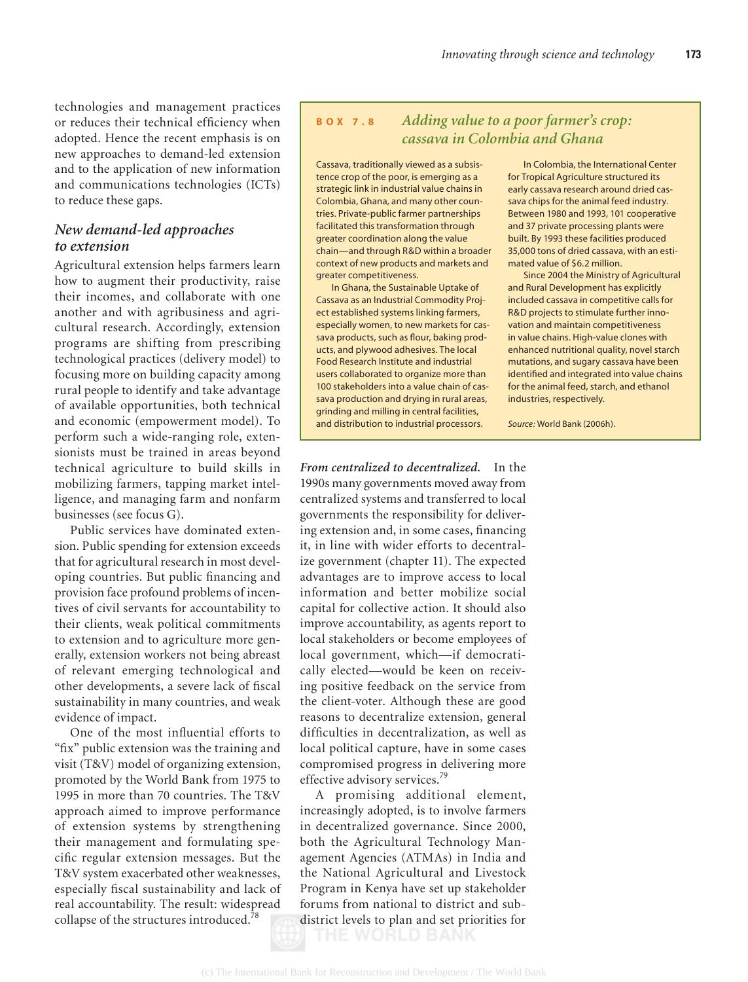technologies and management practices or reduces their technical efficiency when adopted. Hence the recent emphasis is on new approaches to demand-led extension and to the application of new information and communications technologies (ICTs) to reduce these gaps.

## *New demand-led approaches to extension*

Agricultural extension helps farmers learn how to augment their productivity, raise their incomes, and collaborate with one another and with agribusiness and agricultural research. Accordingly, extension programs are shifting from prescribing technological practices (delivery model) to focusing more on building capacity among rural people to identify and take advantage of available opportunities, both technical and economic (empowerment model). To perform such a wide-ranging role, extensionists must be trained in areas beyond technical agriculture to build skills in mobilizing farmers, tapping market intelligence, and managing farm and nonfarm businesses (see focus G).

Public services have dominated extension. Public spending for extension exceeds that for agricultural research in most developing countries. But public financing and provision face profound problems of incentives of civil servants for accountability to their clients, weak political commitments to extension and to agriculture more generally, extension workers not being abreast of relevant emerging technological and other developments, a severe lack of fiscal sustainability in many countries, and weak evidence of impact.

One of the most influential efforts to "fix" public extension was the training and visit (T&V) model of organizing extension, promoted by the World Bank from 1975 to 1995 in more than 70 countries. The T&V approach aimed to improve performance of extension systems by strengthening their management and formulating specific regular extension messages. But the T&V system exacerbated other weaknesses, especially fiscal sustainability and lack of real accountability. The result: widespread collapse of the structures introduced.78

# **BOX 7.8** *Adding value to a poor farmer's crop: cassava in Colombia and Ghana*

Cassava, traditionally viewed as a subsistence crop of the poor, is emerging as a strategic link in industrial value chains in Colombia, Ghana, and many other countries. Private-public farmer partnerships facilitated this transformation through greater coordination along the value chain—and through R&D within a broader context of new products and markets and greater competitiveness.

In Ghana, the Sustainable Uptake of Cassava as an Industrial Commodity Project established systems linking farmers, especially women, to new markets for cassava products, such as flour, baking products, and plywood adhesives. The local Food Research Institute and industrial users collaborated to organize more than 100 stakeholders into a value chain of cassava production and drying in rural areas, grinding and milling in central facilities, and distribution to industrial processors.

In Colombia, the International Center for Tropical Agriculture structured its early cassava research around dried cassava chips for the animal feed industry. Between 1980 and 1993, 101 cooperative and 37 private processing plants were built. By 1993 these facilities produced 35,000 tons of dried cassava, with an estimated value of \$6.2 million.

Since 2004 the Ministry of Agricultural and Rural Development has explicitly included cassava in competitive calls for R&D projects to stimulate further innovation and maintain competitiveness in value chains. High-value clones with enhanced nutritional quality, novel starch mutations, and sugary cassava have been identified and integrated into value chains for the animal feed, starch, and ethanol industries, respectively.

*Source:* World Bank (2006h).

*From centralized to decentralized.* In the 1990s many governments moved away from centralized systems and transferred to local governments the responsibility for delivering extension and, in some cases, financing it, in line with wider efforts to decentralize government (chapter 11). The expected advantages are to improve access to local information and better mobilize social capital for collective action. It should also improve accountability, as agents report to local stakeholders or become employees of local government, which—if democratically elected—would be keen on receiving positive feedback on the service from the client-voter. Although these are good reasons to decentralize extension, general difficulties in decentralization, as well as local political capture, have in some cases compromised progress in delivering more effective advisory services.<sup>79</sup>

A promising additional element, increasingly adopted, is to involve farmers in decentralized governance. Since 2000, both the Agricultural Technology Management Agencies (ATMAs) in India and the National Agricultural and Livestock Program in Kenya have set up stakeholder forums from national to district and subdistrict levels to plan and set priorities for

(c) The International Bank for Reconstruction and Development / The World Bank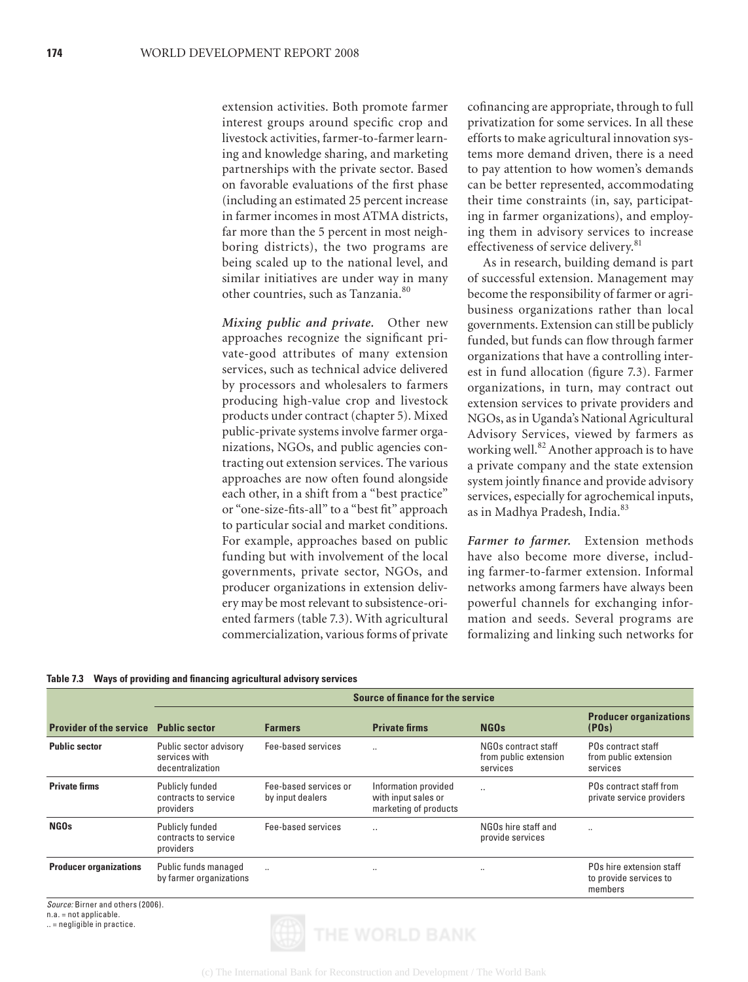extension activities. Both promote farmer interest groups around specific crop and livestock activities, farmer-to-farmer learning and knowledge sharing, and marketing partnerships with the private sector. Based on favorable evaluations of the first phase (including an estimated 25 percent increase in farmer incomes in most ATMA districts, far more than the 5 percent in most neighboring districts), the two programs are being scaled up to the national level, and similar initiatives are under way in many other countries, such as Tanzania.<sup>80</sup>

*Mixing public and private.* Other new approaches recognize the significant private-good attributes of many extension services, such as technical advice delivered by processors and wholesalers to farmers producing high-value crop and livestock products under contract (chapter 5). Mixed public-private systems involve farmer organizations, NGOs, and public agencies contracting out extension services. The various approaches are now often found alongside each other, in a shift from a "best practice" or "one-size-fits-all" to a "best fit" approach to particular social and market conditions. For example, approaches based on public funding but with involvement of the local governments, private sector, NGOs, and producer organizations in extension delivery may be most relevant to subsistence-oriented farmers (table 7.3). With agricultural commercialization, various forms of private

cofinancing are appropriate, through to full privatization for some services. In all these efforts to make agricultural innovation systems more demand driven, there is a need to pay attention to how women's demands can be better represented, accommodating their time constraints (in, say, participating in farmer organizations), and employing them in advisory services to increase effectiveness of service delivery.<sup>81</sup>

As in research, building demand is part of successful extension. Management may become the responsibility of farmer or agribusiness organizations rather than local governments. Extension can still be publicly funded, but funds can flow through farmer organizations that have a controlling interest in fund allocation (figure 7.3). Farmer organizations, in turn, may contract out extension services to private providers and NGOs, as in Uganda's National Agricultural Advisory Services, viewed by farmers as working well. $82$  Another approach is to have a private company and the state extension system jointly finance and provide advisory services, especially for agrochemical inputs, as in Madhya Pradesh, India.<sup>83</sup>

*Farmer to farmer.* Extension methods have also become more diverse, including farmer-to-farmer extension. Informal networks among farmers have always been powerful channels for exchanging information and seeds. Several programs are formalizing and linking such networks for

#### **Table 7.3 Ways of providing and fi nancing agricultural advisory services**

|                                | <b>Source of finance for the service</b>                    |                                           |                                                                      |                                                          |                                                               |
|--------------------------------|-------------------------------------------------------------|-------------------------------------------|----------------------------------------------------------------------|----------------------------------------------------------|---------------------------------------------------------------|
| <b>Provider of the service</b> | <b>Public sector</b>                                        | <b>Farmers</b>                            | <b>Private firms</b>                                                 | <b>NGOs</b>                                              | <b>Producer organizations</b><br>(POs)                        |
| <b>Public sector</b>           | Public sector advisory<br>services with<br>decentralization | Fee-based services                        | $\ddot{\phantom{a}}$                                                 | NGOs contract staff<br>from public extension<br>services | POs contract staff<br>from public extension<br>services       |
| <b>Private firms</b>           | Publicly funded<br>contracts to service<br>providers        | Fee-based services or<br>by input dealers | Information provided<br>with input sales or<br>marketing of products | $\ddot{\phantom{a}}$                                     | POs contract staff from<br>private service providers          |
| NGO <sub>s</sub>               | Publicly funded<br>contracts to service<br>providers        | Fee-based services                        |                                                                      | NGOs hire staff and<br>provide services                  | $\ddot{\phantom{a}}$                                          |
| <b>Producer organizations</b>  | Public funds managed<br>by farmer organizations             | $\ddotsc$                                 | $\ddotsc$                                                            | $\cdot \cdot$                                            | POs hire extension staff<br>to provide services to<br>members |

Source: Birner and others (2006).

n.a. = not applicable.

.. = negligible in practice.

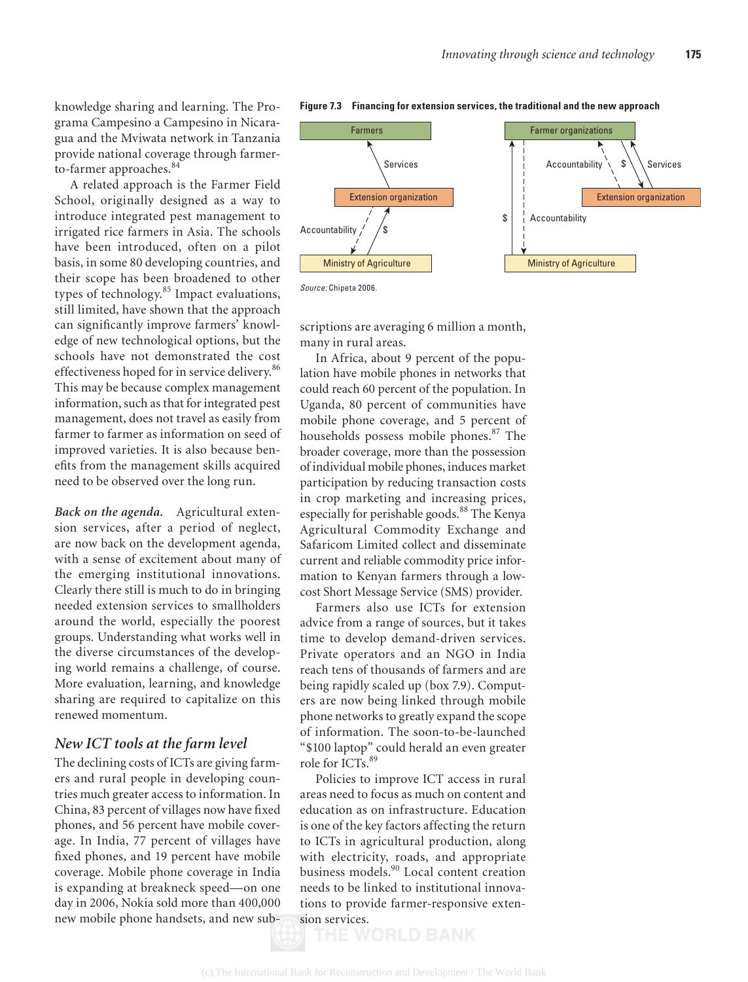knowledge sharing and learning. The Programa Campesino a Campesino in Nicaragua and the Mviwata network in Tanzania provide national coverage through farmerto-farmer approaches.<sup>84</sup>

A related approach is the Farmer Field School, originally designed as a way to introduce integrated pest management to irrigated rice farmers in Asia. The schools have been introduced, often on a pilot basis, in some 80 developing countries, and their scope has been broadened to other types of technology.<sup>85</sup> Impact evaluations, still limited, have shown that the approach can significantly improve farmers' knowledge of new technological options, but the schools have not demonstrated the cost effectiveness hoped for in service delivery.<sup>86</sup> This may be because complex management information, such as that for integrated pest management, does not travel as easily from farmer to farmer as information on seed of improved varieties. It is also because benefits from the management skills acquired need to be observed over the long run.

*Back on the agenda.* Agricultural extension services, after a period of neglect, are now back on the development agenda, with a sense of excitement about many of the emerging institutional innovations. Clearly there still is much to do in bringing needed extension services to smallholders around the world, especially the poorest groups. Understanding what works well in the diverse circumstances of the developing world remains a challenge, of course. More evaluation, learning, and knowledge sharing are required to capitalize on this renewed momentum.

#### *New ICT tools at the farm level*

The declining costs of ICTs are giving farmers and rural people in developing countries much greater access to information. In China, 83 percent of villages now have fixed phones, and 56 percent have mobile coverage. In India, 77 percent of villages have fixed phones, and 19 percent have mobile coverage. Mobile phone coverage in India is expanding at breakneck speed—on one day in 2006, Nokia sold more than 400,000 new mobile phone handsets, and new sub-

**Figure 7.3 Financing for extension services, the traditional and the new approach**



Source: Chipeta 2006.

scriptions are averaging 6 million a month, many in rural areas.

In Africa, about 9 percent of the population have mobile phones in networks that could reach 60 percent of the population. In Uganda, 80 percent of communities have mobile phone coverage, and 5 percent of households possess mobile phones.87 The broader coverage, more than the possession of individual mobile phones, induces market participation by reducing transaction costs in crop marketing and increasing prices, especially for perishable goods.<sup>88</sup> The Kenya Agricultural Commodity Exchange and Safaricom Limited collect and disseminate current and reliable commodity price information to Kenyan farmers through a lowcost Short Message Service (SMS) provider.

Farmers also use ICTs for extension advice from a range of sources, but it takes time to develop demand-driven services. Private operators and an NGO in India reach tens of thousands of farmers and are being rapidly scaled up (box 7.9). Computers are now being linked through mobile phone networks to greatly expand the scope of information. The soon-to-be-launched "\$100 laptop" could herald an even greater role for ICTs.<sup>89</sup>

Policies to improve ICT access in rural areas need to focus as much on content and education as on infrastructure. Education is one of the key factors affecting the return to ICTs in agricultural production, along with electricity, roads, and appropriate business models.90 Local content creation needs to be linked to institutional innovations to provide farmer-responsive exten-